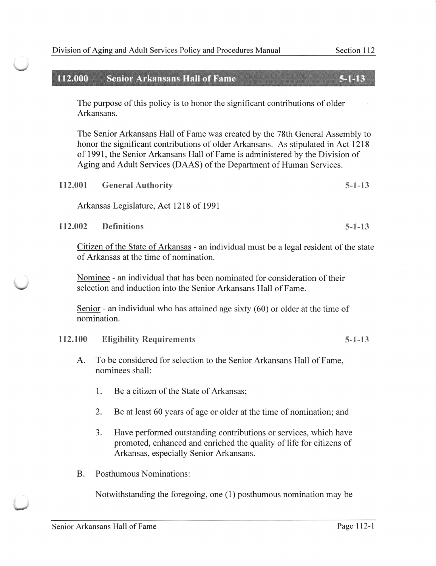## 112.000 Senior Arkansans Hall of Fame 5-1-13

The purpose of this policy is to honor the significant contributions of older Arkansans.

The Senior Arkansans Hall of Fame was created by the 78th General Assembly to honor the significant contributions of older Arkansans. As stipulated in Act 1218 of 1991, the Senior Arkansans Hall of Fame is administered by the Division of Aging and Adult Services (DAAS) of the Department of Human Services.

| 112.001 | <b>General Authority</b> | $5 - 1 - 13$ |
|---------|--------------------------|--------------|
|---------|--------------------------|--------------|

Arkansas Legislature, Act 1218 of 1991

112.002 Definitions 5-1-13

V

V

Citizen of the State of Arkansas - an individual must be a legal resident of the state of Arkansas at the time of nomination.

Nominee - an individual that has been nominated for consideration of their selection and induction into the Senior Arkansans Hall of Fame.

Senior - an individual who has attained age sixty (60) or older at the time of nomination.

## 112.100 Eligibility Requirements 5-1-13

- A. To be considered for selection to the Senior Arkansans Hall of Fame, nominees shall:
	- 1. Be a citizen of the State of Arkansas;
	- $\overline{2}$ . Be at least 60 years of age or older at the time of nomination; and
	- Have performed outstanding contributions or services, which have promoted, enhanced and enriched the quality of life for citizens of Arkansas, especially Senior Arkansans. 3.
- B. Posthumous Nominations:

Notwithstanding the foregoing, one (1) posthumous nomination may be